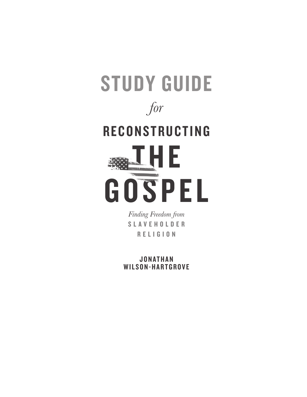

*Finding Freedom from*  S L A V E H O L D E R RELIGION

J O N A T H A N WILSON-HARTGROVE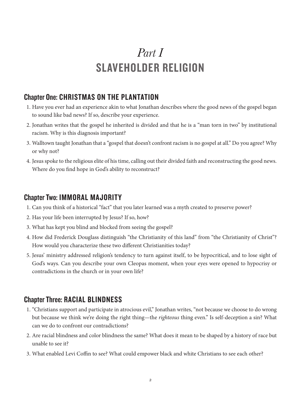# *Part I* SLAVEHOLDER RELIGION

### Chapter One: CHRISTMAS ON THE PLANTATION

- 1. Have you ever had an experience akin to what Jonathan describes where the good news of the gospel began to sound like bad news? If so, describe your experience.
- 2. Jonathan writes that the gospel he inherited is divided and that he is a "man torn in two" by institutional racism. Why is this diagnosis important?
- 3. Walltown taught Jonathan that a "gospel that doesn't confront racism is no gospel at all." Do you agree? Why or why not?
- 4. Jesus spoke to the religious elite of his time, calling out their divided faith and reconstructing the good news. Where do you find hope in God's ability to reconstruct?

### Chapter Two: IMMORAL MAJORITY

- 1. Can you think of a historical "fact" that you later learned was a myth created to preserve power?
- 2. Has your life been interrupted by Jesus? If so, how?
- 3. What has kept you blind and blocked from seeing the gospel?
- 4. How did Frederick Douglass distinguish "the Christianity of this land" from "the Christianity of Christ"? How would you characterize these two different Christianities today?
- 5. Jesus' ministry addressed religion's tendency to turn against itself, to be hypocritical, and to lose sight of God's ways. Can you describe your own Cleopas moment, when your eyes were opened to hypocrisy or contradictions in the church or in your own life?

### Chapter Three: RACIAL BLINDNESS

- 1. "Christians support and participate in atrocious evil," Jonathan writes, "not because we choose to do wrong but because we think we're doing the right thing—the *righteous* thing even." Is self-deception a sin? What can we do to confront our contradictions?
- 2. Are racial blindness and color blindness the same? What does it mean to be shaped by a history of race but unable to see it?
- 3. What enabled Levi Coffin to see? What could empower black and white Christians to see each other?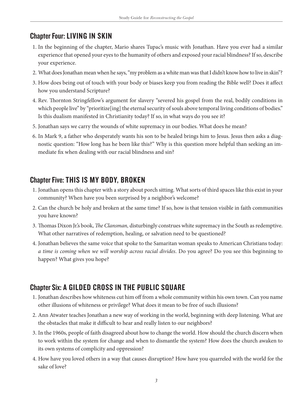## Chapter Four: LIVING IN SKIN

- 1. In the beginning of the chapter, Mario shares Tupac's music with Jonathan. Have you ever had a similar experience that opened your eyes to the humanity of others and exposed your racial blindness? If so, describe your experience.
- 2. What does Jonathan mean when he says, "my problem as a white man was that I didn't know how to live in skin"?
- 3. How does being out of touch with your body or biases keep you from reading the Bible well? Does it affect how you understand Scripture?
- 4. Rev. Thornton Stringfellow's argument for slavery "severed his gospel from the real, bodily conditions in which people live" by "prioritize<sup>[ing]</sup> the eternal security of souls above temporal living conditions of bodies." Is this dualism manifested in Christianity today? If so, in what ways do you see it?
- 5. Jonathan says we carry the wounds of white supremacy in our bodies. What does he mean?
- 6. In Mark 9, a father who desperately wants his son to be healed brings him to Jesus. Jesus then asks a diagnostic question: "How long has he been like this?" Why is this question more helpful than seeking an immediate fix when dealing with our racial blindness and sin?

## Chapter Five: THIS IS MY BODY, BROKEN

- 1. Jonathan opens this chapter with a story about porch sitting. What sorts of third spaces like this exist in your community? When have you been surprised by a neighbor's welcome?
- 2. Can the church be holy and broken at the same time? If so, how is that tension visible in faith communities you have known?
- 3. Thomas Dixon Jr.'s book, *The Clansman,* disturbingly construes white supremacy in the South as redemptive. What other narratives of redemption, healing, or salvation need to be questioned?
- 4. Jonathan believes the same voice that spoke to the Samaritan woman speaks to American Christians today: *a time is coming when we will worship across racial divides*. Do you agree? Do you see this beginning to happen? What gives you hope?

## Chapter Six: A GILDED CROSS IN THE PUBLIC SQUARE

- 1. Jonathan describes how whiteness cut him off from a whole community within his own town. Can you name other illusions of whiteness or privilege? What does it mean to be free of such illusions?
- 2. Ann Atwater teaches Jonathan a new way of working in the world, beginning with deep listening. What are the obstacles that make it difficult to hear and really listen to our neighbors?
- 3. In the 1960s, people of faith disagreed about how to change the world. How should the church discern when to work within the system for change and when to dismantle the system? How does the church awaken to its own systems of complicity and oppression?
- 4. How have you loved others in a way that causes disruption? How have you quarreled with the world for the sake of love?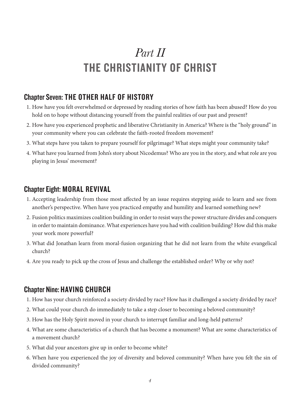## *Part II* THE CHRISTIANITY OF CHRIST

### Chapter Seven: THE OTHER HALF OF HISTORY

- 1. How have you felt overwhelmed or depressed by reading stories of how faith has been abused? How do you hold on to hope without distancing yourself from the painful realities of our past and present?
- 2. How have you experienced prophetic and liberative Christianity in America? Where is the "holy ground" in your community where you can celebrate the faith-rooted freedom movement?
- 3. What steps have you taken to prepare yourself for pilgrimage? What steps might your community take?
- 4. What have you learned from John's story about Nicodemus? Who are you in the story, and what role are you playing in Jesus' movement?

#### Chapter Eight: MORAL REVIVAL

- 1. Accepting leadership from those most affected by an issue requires stepping aside to learn and see from another's perspective. When have you practiced empathy and humility and learned something new?
- 2. Fusion politics maximizes coalition building in order to resist ways the power structure divides and conquers in order to maintain dominance. What experiences have you had with coalition building? How did this make your work more powerful?
- 3. What did Jonathan learn from moral-fusion organizing that he did not learn from the white evangelical church?
- 4. Are you ready to pick up the cross of Jesus and challenge the established order? Why or why not?

#### Chapter Nine: HAVING CHURCH

- 1. How has your church reinforced a society divided by race? How has it challenged a society divided by race?
- 2. What could your church do immediately to take a step closer to becoming a beloved community?
- 3. How has the Holy Spirit moved in your church to interrupt familiar and long-held patterns?
- 4. What are some characteristics of a church that has become a monument? What are some characteristics of a movement church?
- 5. What did your ancestors give up in order to become white?
- 6. When have you experienced the joy of diversity and beloved community? When have you felt the sin of divided community?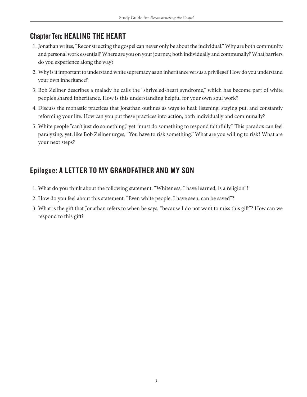## Chapter Ten: HEALING THE HEART

- 1. Jonathan writes, "Reconstructing the gospel can never only be about the individual." Why are both community and personal work essential? Where are you on your journey, both individually and communally? What barriers do you experience along the way?
- 2. Why is it important to understand white supremacy as an inheritance versus a privilege? How do you understand your own inheritance?
- 3. Bob Zellner describes a malady he calls the "shriveled-heart syndrome," which has become part of white people's shared inheritance. How is this understanding helpful for your own soul work?
- 4. Discuss the monastic practices that Jonathan outlines as ways to heal: listening, staying put, and constantly reforming your life. How can you put these practices into action, both individually and communally?
- 5. White people "can't just do something," yet "must do something to respond faithfully." This paradox can feel paralyzing, yet, like Bob Zellner urges, "You have to risk something." What are you willing to risk? What are your next steps?

## Epilogue: A LETTER TO MY GRANDFATHER AND MY SON

- 1. What do you think about the following statement: "Whiteness, I have learned, is a religion"?
- 2. How do you feel about this statement: "Even white people, I have seen, can be saved"?
- 3. What is the gift that Jonathan refers to when he says, "because I do not want to miss this gift"? How can we respond to this gift?